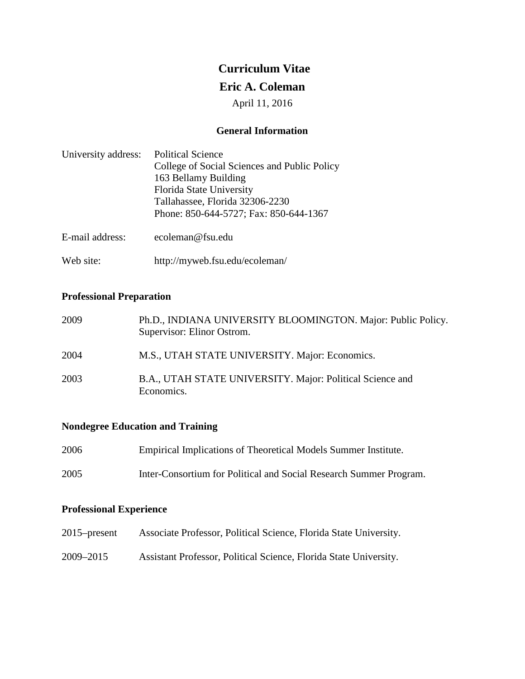# **Curriculum Vitae**

# **Eric A. Coleman**

April 11, 2016

## **General Information**

| University address: | <b>Political Science</b>                     |
|---------------------|----------------------------------------------|
|                     | College of Social Sciences and Public Policy |
|                     | 163 Bellamy Building                         |
|                     | Florida State University                     |
|                     | Tallahassee, Florida 32306-2230              |
|                     | Phone: 850-644-5727; Fax: 850-644-1367       |
| E-mail address:     | ecoleman@fsu.edu                             |

Web site: <http://myweb.fsu.edu/ecoleman/>

# **Professional Preparation**

| 2009 | Ph.D., INDIANA UNIVERSITY BLOOMINGTON. Major: Public Policy.<br>Supervisor: Elinor Ostrom. |
|------|--------------------------------------------------------------------------------------------|
| 2004 | M.S., UTAH STATE UNIVERSITY. Major: Economics.                                             |
| 2003 | B.A., UTAH STATE UNIVERSITY. Major: Political Science and<br>Economics.                    |

# **Nondegree Education and Training**

| 2006 | Empirical Implications of Theoretical Models Summer Institute.     |
|------|--------------------------------------------------------------------|
| 2005 | Inter-Consortium for Political and Social Research Summer Program. |

## **Professional Experience**

- 2015–present Associate Professor, Political Science, Florida State University.
- 2009–2015 Assistant Professor, Political Science, Florida State University.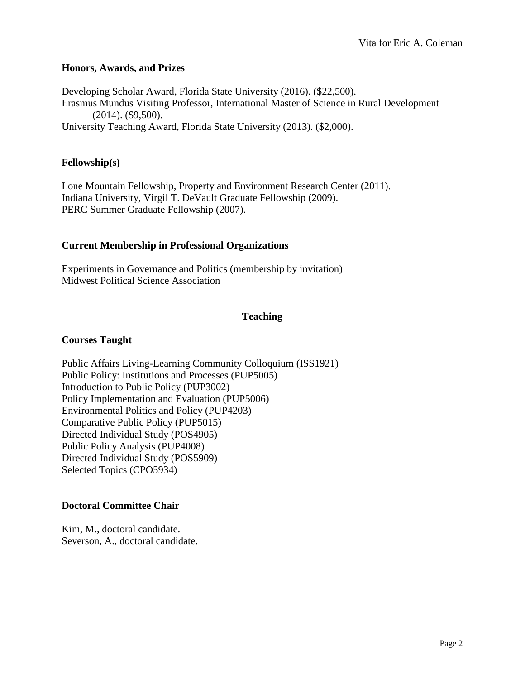## **Honors, Awards, and Prizes**

Developing Scholar Award, Florida State University (2016). (\$22,500). Erasmus Mundus Visiting Professor, International Master of Science in Rural Development (2014). (\$9,500). University Teaching Award, Florida State University (2013). (\$2,000).

## **Fellowship(s)**

Lone Mountain Fellowship, Property and Environment Research Center (2011). Indiana University, Virgil T. DeVault Graduate Fellowship (2009). PERC Summer Graduate Fellowship (2007).

## **Current Membership in Professional Organizations**

Experiments in Governance and Politics (membership by invitation) Midwest Political Science Association

# **Teaching**

# **Courses Taught**

Public Affairs Living-Learning Community Colloquium (ISS1921) Public Policy: Institutions and Processes (PUP5005) Introduction to Public Policy (PUP3002) Policy Implementation and Evaluation (PUP5006) Environmental Politics and Policy (PUP4203) Comparative Public Policy (PUP5015) Directed Individual Study (POS4905) Public Policy Analysis (PUP4008) Directed Individual Study (POS5909) Selected Topics (CPO5934)

# **Doctoral Committee Chair**

Kim, M., doctoral candidate. Severson, A., doctoral candidate.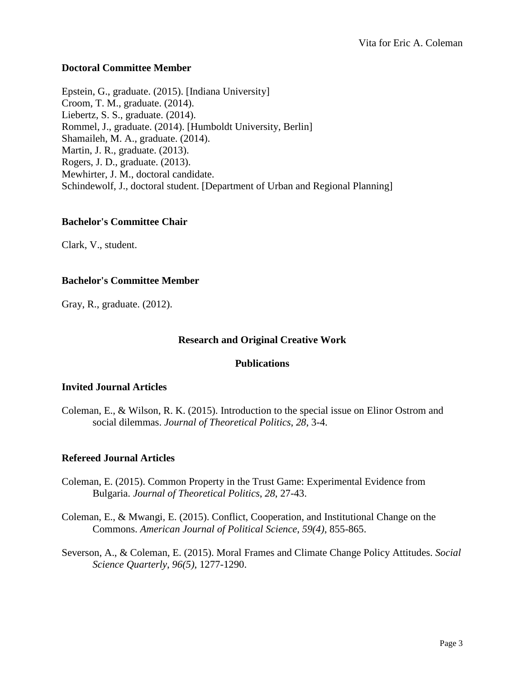## **Doctoral Committee Member**

Epstein, G., graduate. (2015). [Indiana University] Croom, T. M., graduate. (2014). Liebertz, S. S., graduate. (2014). Rommel, J., graduate. (2014). [Humboldt University, Berlin] Shamaileh, M. A., graduate. (2014). Martin, J. R., graduate. (2013). Rogers, J. D., graduate. (2013). Mewhirter, J. M., doctoral candidate. Schindewolf, J., doctoral student. [Department of Urban and Regional Planning]

#### **Bachelor's Committee Chair**

Clark, V., student.

#### **Bachelor's Committee Member**

Gray, R., graduate. (2012).

#### **Research and Original Creative Work**

#### **Publications**

#### **Invited Journal Articles**

Coleman, E., & Wilson, R. K. (2015). Introduction to the special issue on Elinor Ostrom and social dilemmas. *Journal of Theoretical Politics*, *28*, 3-4.

#### **Refereed Journal Articles**

- Coleman, E. (2015). Common Property in the Trust Game: Experimental Evidence from Bulgaria. *Journal of Theoretical Politics*, *28*, 27-43.
- Coleman, E., & Mwangi, E. (2015). Conflict, Cooperation, and Institutional Change on the Commons. *American Journal of Political Science*, *59(4)*, 855-865.
- Severson, A., & Coleman, E. (2015). Moral Frames and Climate Change Policy Attitudes. *Social Science Quarterly*, *96(5)*, 1277-1290.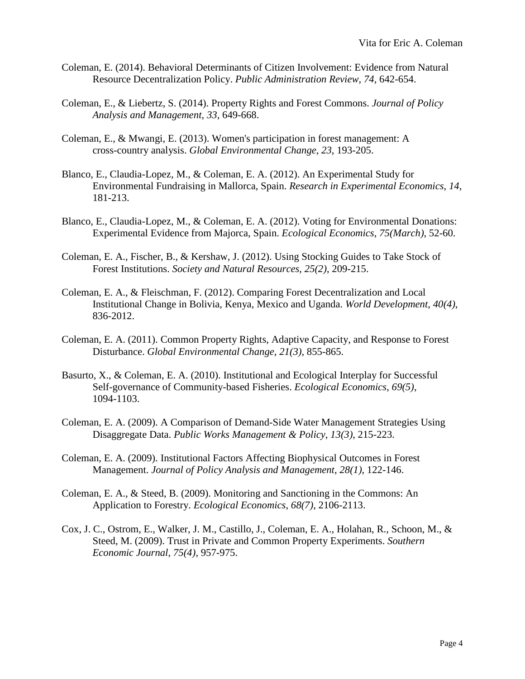- Coleman, E. (2014). Behavioral Determinants of Citizen Involvement: Evidence from Natural Resource Decentralization Policy. *Public Administration Review*, *74*, 642-654.
- Coleman, E., & Liebertz, S. (2014). Property Rights and Forest Commons. *Journal of Policy Analysis and Management*, *33*, 649-668.
- Coleman, E., & Mwangi, E. (2013). Women's participation in forest management: A cross-country analysis. *Global Environmental Change*, *23*, 193-205.
- Blanco, E., Claudia-Lopez, M., & Coleman, E. A. (2012). An Experimental Study for Environmental Fundraising in Mallorca, Spain. *Research in Experimental Economics*, *14*, 181-213.
- Blanco, E., Claudia-Lopez, M., & Coleman, E. A. (2012). Voting for Environmental Donations: Experimental Evidence from Majorca, Spain. *Ecological Economics*, *75(March)*, 52-60.
- Coleman, E. A., Fischer, B., & Kershaw, J. (2012). Using Stocking Guides to Take Stock of Forest Institutions. *Society and Natural Resources*, *25(2)*, 209-215.
- Coleman, E. A., & Fleischman, F. (2012). Comparing Forest Decentralization and Local Institutional Change in Bolivia, Kenya, Mexico and Uganda. *World Development*, *40(4)*, 836-2012.
- Coleman, E. A. (2011). Common Property Rights, Adaptive Capacity, and Response to Forest Disturbance. *Global Environmental Change*, *21(3)*, 855-865.
- Basurto, X., & Coleman, E. A. (2010). Institutional and Ecological Interplay for Successful Self-governance of Community-based Fisheries. *Ecological Economics*, *69(5)*, 1094-1103.
- Coleman, E. A. (2009). A Comparison of Demand-Side Water Management Strategies Using Disaggregate Data. *Public Works Management & Policy*, *13(3)*, 215-223.
- Coleman, E. A. (2009). Institutional Factors Affecting Biophysical Outcomes in Forest Management. *Journal of Policy Analysis and Management*, *28(1)*, 122-146.
- Coleman, E. A., & Steed, B. (2009). Monitoring and Sanctioning in the Commons: An Application to Forestry. *Ecological Economics*, *68(7)*, 2106-2113.
- Cox, J. C., Ostrom, E., Walker, J. M., Castillo, J., Coleman, E. A., Holahan, R., Schoon, M., & Steed, M. (2009). Trust in Private and Common Property Experiments. *Southern Economic Journal*, *75(4)*, 957-975.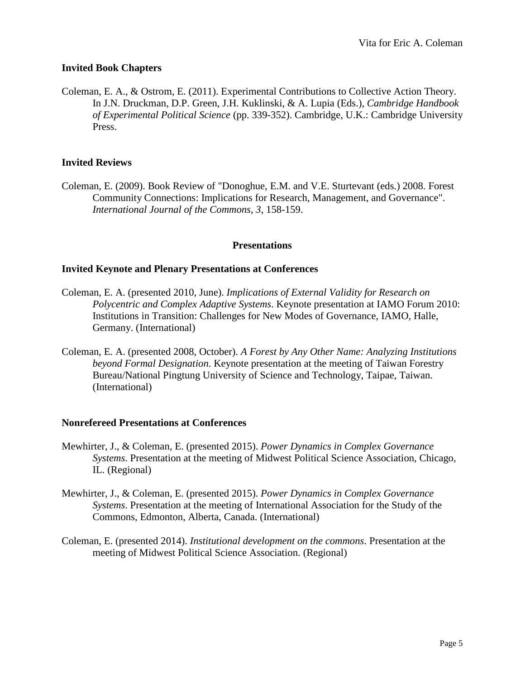# **Invited Book Chapters**

Coleman, E. A., & Ostrom, E. (2011). Experimental Contributions to Collective Action Theory. In J.N. Druckman, D.P. Green, J.H. Kuklinski, & A. Lupia (Eds.), *Cambridge Handbook of Experimental Political Science* (pp. 339-352). Cambridge, U.K.: Cambridge University Press.

## **Invited Reviews**

Coleman, E. (2009). Book Review of "Donoghue, E.M. and V.E. Sturtevant (eds.) 2008. Forest Community Connections: Implications for Research, Management, and Governance". *International Journal of the Commons*, *3*, 158-159.

#### **Presentations**

#### **Invited Keynote and Plenary Presentations at Conferences**

- Coleman, E. A. (presented 2010, June). *Implications of External Validity for Research on Polycentric and Complex Adaptive Systems*. Keynote presentation at IAMO Forum 2010: Institutions in Transition: Challenges for New Modes of Governance, IAMO, Halle, Germany. (International)
- Coleman, E. A. (presented 2008, October). *A Forest by Any Other Name: Analyzing Institutions beyond Formal Designation*. Keynote presentation at the meeting of Taiwan Forestry Bureau/National Pingtung University of Science and Technology, Taipae, Taiwan. (International)

#### **Nonrefereed Presentations at Conferences**

- Mewhirter, J., & Coleman, E. (presented 2015). *Power Dynamics in Complex Governance Systems*. Presentation at the meeting of Midwest Political Science Association, Chicago, IL. (Regional)
- Mewhirter, J., & Coleman, E. (presented 2015). *Power Dynamics in Complex Governance Systems*. Presentation at the meeting of International Association for the Study of the Commons, Edmonton, Alberta, Canada. (International)
- Coleman, E. (presented 2014). *Institutional development on the commons*. Presentation at the meeting of Midwest Political Science Association. (Regional)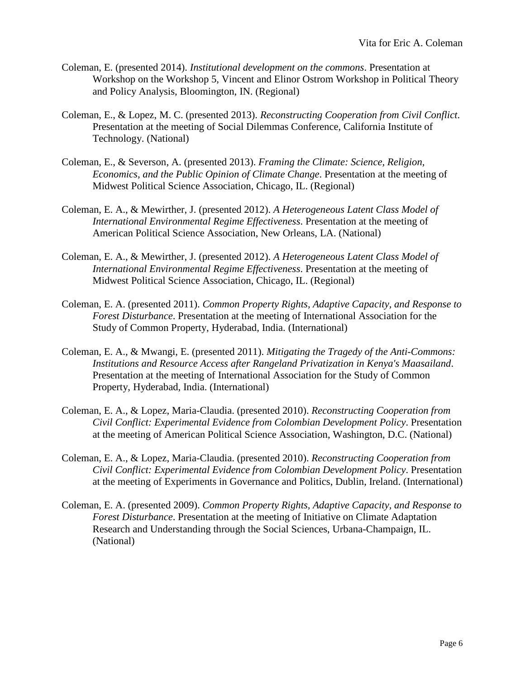- Coleman, E. (presented 2014). *Institutional development on the commons*. Presentation at Workshop on the Workshop 5, Vincent and Elinor Ostrom Workshop in Political Theory and Policy Analysis, Bloomington, IN. (Regional)
- Coleman, E., & Lopez, M. C. (presented 2013). *Reconstructing Cooperation from Civil Conflict*. Presentation at the meeting of Social Dilemmas Conference, California Institute of Technology. (National)
- Coleman, E., & Severson, A. (presented 2013). *Framing the Climate: Science, Religion, Economics, and the Public Opinion of Climate Change*. Presentation at the meeting of Midwest Political Science Association, Chicago, IL. (Regional)
- Coleman, E. A., & Mewirther, J. (presented 2012). *A Heterogeneous Latent Class Model of International Environmental Regime Effectiveness*. Presentation at the meeting of American Political Science Association, New Orleans, LA. (National)
- Coleman, E. A., & Mewirther, J. (presented 2012). *A Heterogeneous Latent Class Model of International Environmental Regime Effectiveness*. Presentation at the meeting of Midwest Political Science Association, Chicago, IL. (Regional)
- Coleman, E. A. (presented 2011). *Common Property Rights, Adaptive Capacity, and Response to Forest Disturbance*. Presentation at the meeting of International Association for the Study of Common Property, Hyderabad, India. (International)
- Coleman, E. A., & Mwangi, E. (presented 2011). *Mitigating the Tragedy of the Anti-Commons: Institutions and Resource Access after Rangeland Privatization in Kenya's Maasailand*. Presentation at the meeting of International Association for the Study of Common Property, Hyderabad, India. (International)
- Coleman, E. A., & Lopez, Maria-Claudia. (presented 2010). *Reconstructing Cooperation from Civil Conflict: Experimental Evidence from Colombian Development Policy*. Presentation at the meeting of American Political Science Association, Washington, D.C. (National)
- Coleman, E. A., & Lopez, Maria-Claudia. (presented 2010). *Reconstructing Cooperation from Civil Conflict: Experimental Evidence from Colombian Development Policy*. Presentation at the meeting of Experiments in Governance and Politics, Dublin, Ireland. (International)
- Coleman, E. A. (presented 2009). *Common Property Rights, Adaptive Capacity, and Response to Forest Disturbance*. Presentation at the meeting of Initiative on Climate Adaptation Research and Understanding through the Social Sciences, Urbana-Champaign, IL. (National)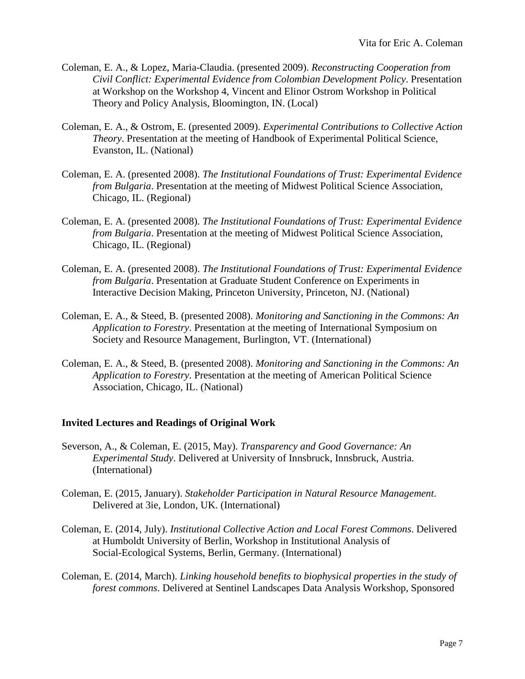- Coleman, E. A., & Lopez, Maria-Claudia. (presented 2009). *Reconstructing Cooperation from Civil Conflict: Experimental Evidence from Colombian Development Policy*. Presentation at Workshop on the Workshop 4, Vincent and Elinor Ostrom Workshop in Political Theory and Policy Analysis, Bloomington, IN. (Local)
- Coleman, E. A., & Ostrom, E. (presented 2009). *Experimental Contributions to Collective Action Theory*. Presentation at the meeting of Handbook of Experimental Political Science, Evanston, IL. (National)
- Coleman, E. A. (presented 2008). *The Institutional Foundations of Trust: Experimental Evidence from Bulgaria*. Presentation at the meeting of Midwest Political Science Association, Chicago, IL. (Regional)
- Coleman, E. A. (presented 2008). *The Institutional Foundations of Trust: Experimental Evidence from Bulgaria*. Presentation at the meeting of Midwest Political Science Association, Chicago, IL. (Regional)
- Coleman, E. A. (presented 2008). *The Institutional Foundations of Trust: Experimental Evidence from Bulgaria*. Presentation at Graduate Student Conference on Experiments in Interactive Decision Making, Princeton University, Princeton, NJ. (National)
- Coleman, E. A., & Steed, B. (presented 2008). *Monitoring and Sanctioning in the Commons: An Application to Forestry*. Presentation at the meeting of International Symposium on Society and Resource Management, Burlington, VT. (International)
- Coleman, E. A., & Steed, B. (presented 2008). *Monitoring and Sanctioning in the Commons: An Application to Forestry*. Presentation at the meeting of American Political Science Association, Chicago, IL. (National)

# **Invited Lectures and Readings of Original Work**

- Severson, A., & Coleman, E. (2015, May). *Transparency and Good Governance: An Experimental Study*. Delivered at University of Innsbruck, Innsbruck, Austria. (International)
- Coleman, E. (2015, January). *Stakeholder Participation in Natural Resource Management*. Delivered at 3ie, London, UK. (International)
- Coleman, E. (2014, July). *Institutional Collective Action and Local Forest Commons*. Delivered at Humboldt University of Berlin, Workshop in Institutional Analysis of Social-Ecological Systems, Berlin, Germany. (International)
- Coleman, E. (2014, March). *Linking household benefits to biophysical properties in the study of forest commons*. Delivered at Sentinel Landscapes Data Analysis Workshop, Sponsored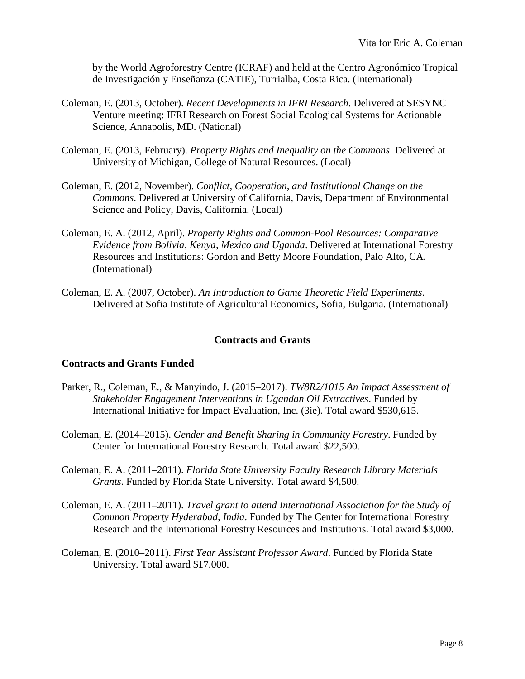by the World Agroforestry Centre (ICRAF) and held at the Centro Agronómico Tropical de Investigación y Enseñanza (CATIE), Turrialba, Costa Rica. (International)

- Coleman, E. (2013, October). *Recent Developments in IFRI Research*. Delivered at SESYNC Venture meeting: IFRI Research on Forest Social Ecological Systems for Actionable Science, Annapolis, MD. (National)
- Coleman, E. (2013, February). *Property Rights and Inequality on the Commons*. Delivered at University of Michigan, College of Natural Resources. (Local)
- Coleman, E. (2012, November). *Conflict, Cooperation, and Institutional Change on the Commons*. Delivered at University of California, Davis, Department of Environmental Science and Policy, Davis, California. (Local)
- Coleman, E. A. (2012, April). *Property Rights and Common-Pool Resources: Comparative Evidence from Bolivia, Kenya, Mexico and Uganda*. Delivered at International Forestry Resources and Institutions: Gordon and Betty Moore Foundation, Palo Alto, CA. (International)
- Coleman, E. A. (2007, October). *An Introduction to Game Theoretic Field Experiments*. Delivered at Sofia Institute of Agricultural Economics, Sofia, Bulgaria. (International)

# **Contracts and Grants**

#### **Contracts and Grants Funded**

- Parker, R., Coleman, E., & Manyindo, J. (2015–2017). *TW8R2/1015 An Impact Assessment of Stakeholder Engagement Interventions in Ugandan Oil Extractives*. Funded by International Initiative for Impact Evaluation, Inc. (3ie). Total award \$530,615.
- Coleman, E. (2014–2015). *Gender and Benefit Sharing in Community Forestry*. Funded by Center for International Forestry Research. Total award \$22,500.
- Coleman, E. A. (2011–2011). *Florida State University Faculty Research Library Materials Grants*. Funded by Florida State University. Total award \$4,500.
- Coleman, E. A. (2011–2011). *Travel grant to attend International Association for the Study of Common Property Hyderabad, India*. Funded by The Center for International Forestry Research and the International Forestry Resources and Institutions. Total award \$3,000.
- Coleman, E. (2010–2011). *First Year Assistant Professor Award*. Funded by Florida State University. Total award \$17,000.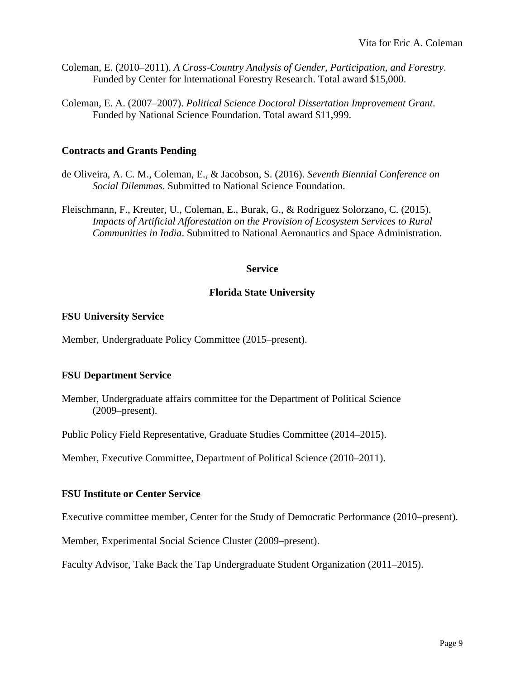- Coleman, E. (2010–2011). *A Cross-Country Analysis of Gender, Participation, and Forestry*. Funded by Center for International Forestry Research. Total award \$15,000.
- Coleman, E. A. (2007–2007). *Political Science Doctoral Dissertation Improvement Grant*. Funded by National Science Foundation. Total award \$11,999.

#### **Contracts and Grants Pending**

- de Oliveira, A. C. M., Coleman, E., & Jacobson, S. (2016). *Seventh Biennial Conference on Social Dilemmas*. Submitted to National Science Foundation.
- Fleischmann, F., Kreuter, U., Coleman, E., Burak, G., & Rodriguez Solorzano, C. (2015). *Impacts of Artificial Afforestation on the Provision of Ecosystem Services to Rural Communities in India*. Submitted to National Aeronautics and Space Administration.

#### **Service**

#### **Florida State University**

#### **FSU University Service**

Member, Undergraduate Policy Committee (2015–present).

#### **FSU Department Service**

Member, Undergraduate affairs committee for the Department of Political Science (2009–present).

Public Policy Field Representative, Graduate Studies Committee (2014–2015).

Member, Executive Committee, Department of Political Science (2010–2011).

#### **FSU Institute or Center Service**

Executive committee member, Center for the Study of Democratic Performance (2010–present).

Member, Experimental Social Science Cluster (2009–present).

Faculty Advisor, Take Back the Tap Undergraduate Student Organization (2011–2015).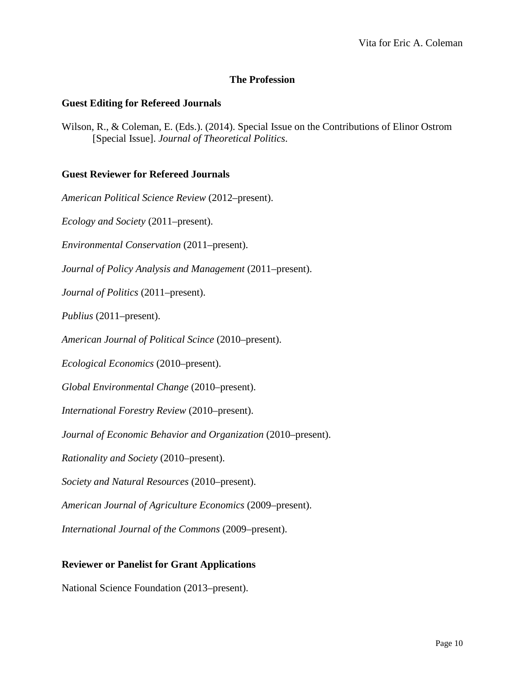# **The Profession**

## **Guest Editing for Refereed Journals**

Wilson, R., & Coleman, E. (Eds.). (2014). Special Issue on the Contributions of Elinor Ostrom [Special Issue]. *Journal of Theoretical Politics*.

## **Guest Reviewer for Refereed Journals**

*American Political Science Review* (2012–present).

*Ecology and Society* (2011–present).

*Environmental Conservation* (2011–present).

*Journal of Policy Analysis and Management* (2011–present).

*Journal of Politics* (2011–present).

*Publius* (2011–present).

*American Journal of Political Scince* (2010–present).

*Ecological Economics* (2010–present).

*Global Environmental Change* (2010–present).

*International Forestry Review* (2010–present).

*Journal of Economic Behavior and Organization* (2010–present).

*Rationality and Society* (2010–present).

*Society and Natural Resources* (2010–present).

*American Journal of Agriculture Economics* (2009–present).

*International Journal of the Commons* (2009–present).

#### **Reviewer or Panelist for Grant Applications**

National Science Foundation (2013–present).